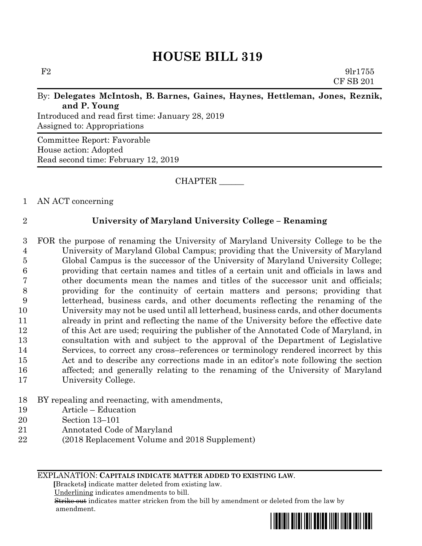# **HOUSE BILL 319**

 $F2 \t\t 9\text{l}r1755$ CF SB 201

#### By: **Delegates McIntosh, B. Barnes, Gaines, Haynes, Hettleman, Jones, Reznik, and P. Young**

Introduced and read first time: January 28, 2019 Assigned to: Appropriations

Committee Report: Favorable House action: Adopted Read second time: February 12, 2019

CHAPTER \_\_\_\_\_\_

1 AN ACT concerning

### 2 **University of Maryland University College – Renaming**

 FOR the purpose of renaming the University of Maryland University College to be the University of Maryland Global Campus; providing that the University of Maryland Global Campus is the successor of the University of Maryland University College; providing that certain names and titles of a certain unit and officials in laws and other documents mean the names and titles of the successor unit and officials; providing for the continuity of certain matters and persons; providing that letterhead, business cards, and other documents reflecting the renaming of the University may not be used until all letterhead, business cards, and other documents already in print and reflecting the name of the University before the effective date of this Act are used; requiring the publisher of the Annotated Code of Maryland, in consultation with and subject to the approval of the Department of Legislative Services, to correct any cross–references or terminology rendered incorrect by this Act and to describe any corrections made in an editor's note following the section affected; and generally relating to the renaming of the University of Maryland University College.

#### 18 BY repealing and reenacting, with amendments,

- 19 Article Education
- 20 Section 13–101
- 21 Annotated Code of Maryland
- 22 (2018 Replacement Volume and 2018 Supplement)

EXPLANATION: **CAPITALS INDICATE MATTER ADDED TO EXISTING LAW**.

 **[**Brackets**]** indicate matter deleted from existing law.

Underlining indicates amendments to bill.

 Strike out indicates matter stricken from the bill by amendment or deleted from the law by amendment.

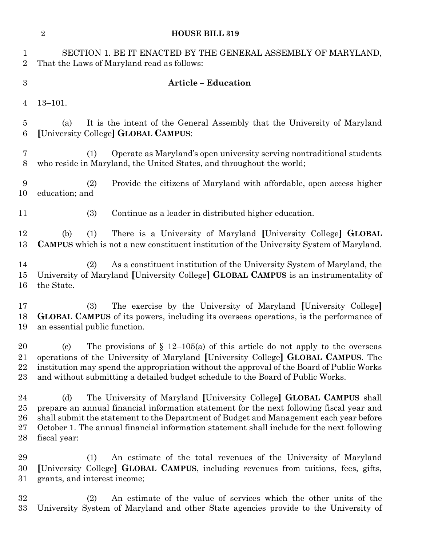|                                    | $\overline{2}$<br><b>HOUSE BILL 319</b>                                                                                                                                                                                                                                                                                                                                        |
|------------------------------------|--------------------------------------------------------------------------------------------------------------------------------------------------------------------------------------------------------------------------------------------------------------------------------------------------------------------------------------------------------------------------------|
| 1<br>$\overline{2}$                | SECTION 1. BE IT ENACTED BY THE GENERAL ASSEMBLY OF MARYLAND,<br>That the Laws of Maryland read as follows:                                                                                                                                                                                                                                                                    |
| 3                                  | <b>Article - Education</b>                                                                                                                                                                                                                                                                                                                                                     |
| 4                                  | $13 - 101.$                                                                                                                                                                                                                                                                                                                                                                    |
| 5<br>6                             | It is the intent of the General Assembly that the University of Maryland<br>(a)<br>[University College] GLOBAL CAMPUS:                                                                                                                                                                                                                                                         |
| 7<br>8                             | Operate as Maryland's open university serving nontraditional students<br>(1)<br>who reside in Maryland, the United States, and throughout the world;                                                                                                                                                                                                                           |
| 9<br>10                            | (2)<br>Provide the citizens of Maryland with affordable, open access higher<br>education; and                                                                                                                                                                                                                                                                                  |
| 11                                 | (3)<br>Continue as a leader in distributed higher education.                                                                                                                                                                                                                                                                                                                   |
| 12<br>13                           | (1)<br>There is a University of Maryland [University College] GLOBAL<br>(b)<br><b>CAMPUS</b> which is not a new constituent institution of the University System of Maryland.                                                                                                                                                                                                  |
| 14<br>15<br>16                     | As a constituent institution of the University System of Maryland, the<br>(2)<br>University of Maryland [University College] GLOBAL CAMPUS is an instrumentality of<br>the State.                                                                                                                                                                                              |
| 17<br>18<br>19                     | The exercise by the University of Maryland [University College]<br>(3)<br><b>GLOBAL CAMPUS</b> of its powers, including its overseas operations, is the performance of<br>an essential public function.                                                                                                                                                                        |
| 20<br>21<br>22<br>23               | The provisions of $\S$ 12–105(a) of this article do not apply to the overseas<br>(c)<br>operations of the University of Maryland [University College] GLOBAL CAMPUS. The<br>institution may spend the appropriation without the approval of the Board of Public Works<br>and without submitting a detailed budget schedule to the Board of Public Works.                       |
| 24<br>$25\,$<br>$26\,$<br>27<br>28 | The University of Maryland [University College] GLOBAL CAMPUS shall<br>(d)<br>prepare an annual financial information statement for the next following fiscal year and<br>shall submit the statement to the Department of Budget and Management each year before<br>October 1. The annual financial information statement shall include for the next following<br>fiscal year: |
| 29<br>30<br>$31\,$                 | An estimate of the total revenues of the University of Maryland<br>(1)<br>[University College] GLOBAL CAMPUS, including revenues from tuitions, fees, gifts,<br>grants, and interest income;                                                                                                                                                                                   |
| 32<br>$33\,$                       | An estimate of the value of services which the other units of the<br>(2)<br>University System of Maryland and other State agencies provide to the University of                                                                                                                                                                                                                |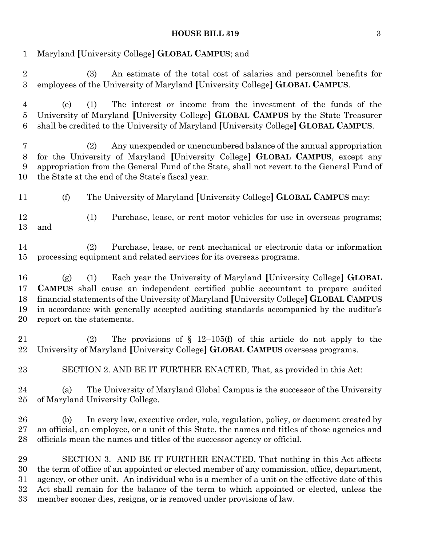## **HOUSE BILL 319** 3

| $\mathbf{1}$                          | Maryland [University College] GLOBAL CAMPUS; and                                                                                                                                                                                                                                                                                                                                                                                       |
|---------------------------------------|----------------------------------------------------------------------------------------------------------------------------------------------------------------------------------------------------------------------------------------------------------------------------------------------------------------------------------------------------------------------------------------------------------------------------------------|
| $\overline{2}$<br>$\boldsymbol{3}$    | An estimate of the total cost of salaries and personnel benefits for<br>(3)<br>employees of the University of Maryland [University College] GLOBAL CAMPUS.                                                                                                                                                                                                                                                                             |
| $\overline{4}$<br>$\overline{5}$<br>6 | The interest or income from the investment of the funds of the<br>(e)<br>(1)<br>University of Maryland [University College] GLOBAL CAMPUS by the State Treasurer<br>shall be credited to the University of Maryland [University College] GLOBAL CAMPUS.                                                                                                                                                                                |
| $\overline{7}$<br>8<br>9<br>10        | Any unexpended or unencumbered balance of the annual appropriation<br>(2)<br>for the University of Maryland [University College] GLOBAL CAMPUS, except any<br>appropriation from the General Fund of the State, shall not revert to the General Fund of<br>the State at the end of the State's fiscal year.                                                                                                                            |
| 11                                    | (f)<br>The University of Maryland [University College] GLOBAL CAMPUS may:                                                                                                                                                                                                                                                                                                                                                              |
| 12<br>13                              | (1)<br>Purchase, lease, or rent motor vehicles for use in overseas programs;<br>and                                                                                                                                                                                                                                                                                                                                                    |
| 14<br>15                              | Purchase, lease, or rent mechanical or electronic data or information<br>(2)<br>processing equipment and related services for its overseas programs.                                                                                                                                                                                                                                                                                   |
| 16<br>17<br>18<br>19<br>20            | Each year the University of Maryland [University College] GLOBAL<br>(1)<br>(g)<br><b>CAMPUS</b> shall cause an independent certified public accountant to prepare audited<br>financial statements of the University of Maryland [University College] GLOBAL CAMPUS<br>in accordance with generally accepted auditing standards accompanied by the auditor's<br>report on the statements.                                               |
| 21<br>22                              | The provisions of $\S$ 12–105(f) of this article do not apply to the<br>(2)<br>University of Maryland [University College] GLOBAL CAMPUS overseas programs.                                                                                                                                                                                                                                                                            |
| 23                                    | SECTION 2. AND BE IT FURTHER ENACTED, That, as provided in this Act:                                                                                                                                                                                                                                                                                                                                                                   |
| 24<br>25                              | The University of Maryland Global Campus is the successor of the University<br>(a)<br>of Maryland University College.                                                                                                                                                                                                                                                                                                                  |
| 26<br>27<br>28                        | In every law, executive order, rule, regulation, policy, or document created by<br>(b)<br>an official, an employee, or a unit of this State, the names and titles of those agencies and<br>officials mean the names and titles of the successor agency or official.                                                                                                                                                                    |
| 29<br>30<br>31<br>32<br>33            | SECTION 3. AND BE IT FURTHER ENACTED, That nothing in this Act affects<br>the term of office of an appointed or elected member of any commission, office, department,<br>agency, or other unit. An individual who is a member of a unit on the effective date of this<br>Act shall remain for the balance of the term to which appointed or elected, unless the<br>member sooner dies, resigns, or is removed under provisions of law. |